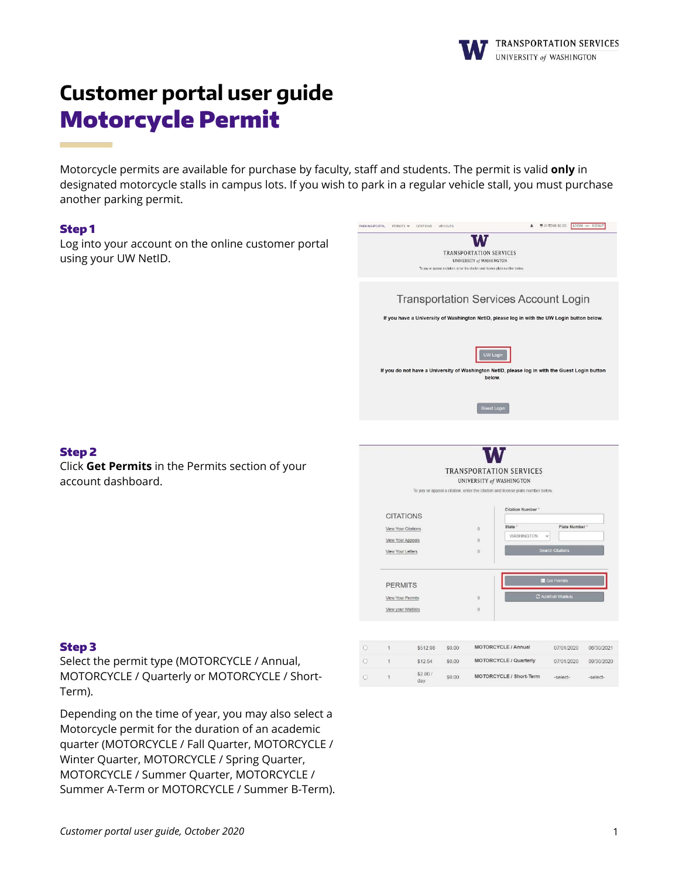

# **Customer portal user guide** Motorcycle Permit

Motorcycle permits are available for purchase by faculty, staff and students. The permit is valid **only** in designated motorcycle stalls in campus lots. If you wish to park in a regular vehicle stall, you must purchase another parking permit.

#### Step 1

Log into your account on the online customer portal using your UW NetID.



# Step 3

Step 2

account dashboard.

Select the permit type (MOTORCYCLE / Annual, MOTORCYCLE / Quarterly or MOTORCYCLE / Short-Term).

Click **Get Permits** in the Permits section of your

Depending on the time of year, you may also select a Motorcycle permit for the duration of an academic quarter (MOTORCYCLE / Fall Quarter, MOTORCYCLE / Winter Quarter, MOTORCYCLE / Spring Quarter, MOTORCYCLE / Summer Quarter, MOTORCYCLE / Summer A-Term or MOTORCYCLE / Summer B-Term).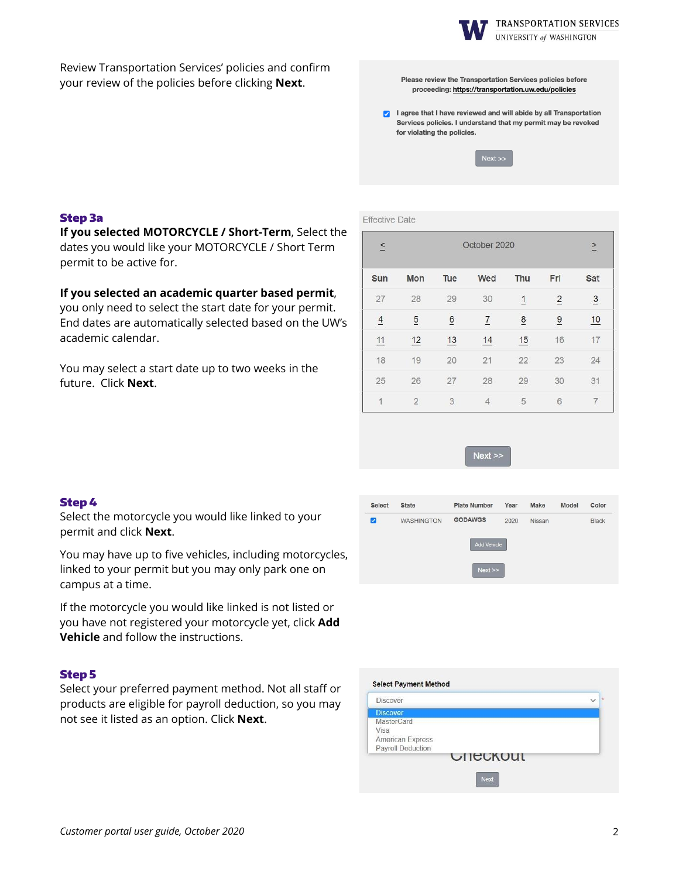

UNIVERSITY of WASHINGTON

Review Transportation Services' policies and confirm your review of the policies before clicking **Next**.

Please review the Transportation Services policies before proceeding: https://transportation.uw.edu/policies

a lagree that I have reviewed and will abide by all Transportation Services policies. I understand that my permit may be revoked for violating the policies.



# Step 3a

**If you selected MOTORCYCLE / Short-Term**, Select the dates you would like your MOTORCYCLE / Short Term permit to be active for.

## **If you selected an academic quarter based permit**,

you only need to select the start date for your permit. End dates are automatically selected based on the UW's academic calendar.

You may select a start date up to two weeks in the future. Click **Next**.

|  |  |  | <b>Effective Date</b> |  |  |
|--|--|--|-----------------------|--|--|
|  |  |  |                       |  |  |
|  |  |  |                       |  |  |

| $\leq$         |                |                 | October 2020   |                |                | $\geq$         |
|----------------|----------------|-----------------|----------------|----------------|----------------|----------------|
| Sun            | Mon            | Tue             | Wed            | Thu            | Fri            | Sat            |
| 27             | 28             | 29              | 30             | $\overline{1}$ | $\overline{2}$ | $\overline{3}$ |
| $\overline{4}$ | $\overline{5}$ | $\underline{6}$ | $\overline{1}$ | 8              | $\overline{9}$ | 10             |
| 11             | 12             | 13              | 14             | 15             | 16             | 17             |
| 18             | 19             | 20              | 21             | 22             | 23             | 24             |
| 25             | 26             | 27              | 28             | 29             | 30             | 31             |
| 1              | $\overline{2}$ | 3               | $\overline{4}$ | 5              | 6              | 7              |

 $Next$ 

#### Step 4

Select the motorcycle you would like linked to your permit and click **Next**.

You may have up to five vehicles, including motorcycles, linked to your permit but you may only park one on campus at a time.

If the motorcycle you would like linked is not listed or you have not registered your motorcycle yet, click **Add Vehicle** and follow the instructions.

#### Step 5

Select your preferred payment method. Not all staff or products are eligible for payroll deduction, so you may not see it listed as an option. Click **Next**.